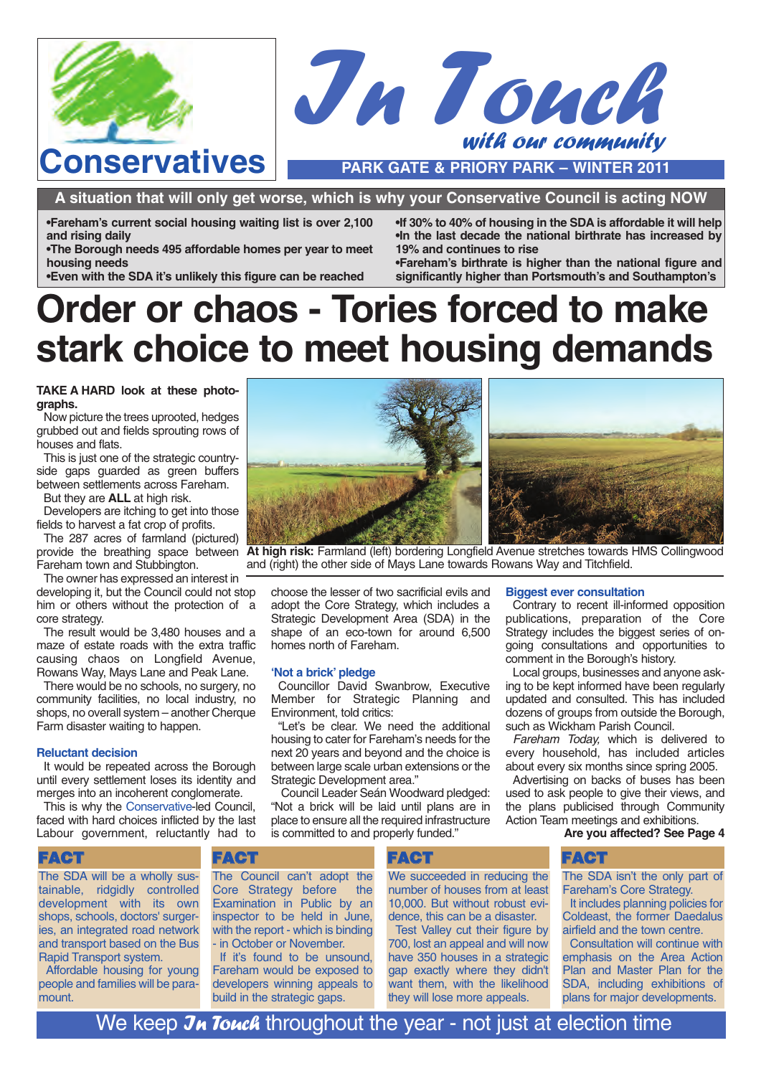



**A situation that will only get worse, which is why your Conservative Council is acting NOW**

**•Fareham's current social housing waiting list is over 2,100 and rising daily**

**•The Borough needs 495 affordable homes per year to meet housing needs**

**•Even with the SDA it's unlikely this figure can be reached**

**•If 30% to 40% of housing in the SDA is affordable it will help •In the last decade the national birthrate has increased by 19% and continues to rise**

**•Fareham's birthrate is higher than the national figure and significantly higher than Portsmouth's and Southampton's**

# **Order or chaos - Tories forced to make stark choice to meet housing demands**

**TAKE A HARD look at these photographs.**

Now picture the trees uprooted, hedges grubbed out and fields sprouting rows of houses and flats.

This is just one of the strategic countryside gaps guarded as green buffers between settlements across Fareham.

But they are **ALL** at high risk.

Developers are itching to get into those fields to harvest a fat crop of profits.

The 287 acres of farmland (pictured) Fareham town and Stubbington.

The owner has expressed an interest in developing it, but the Council could not stop him or others without the protection of a core strategy.

The result would be 3,480 houses and a maze of estate roads with the extra traffic causing chaos on Longfield Avenue, Rowans Way, Mays Lane and Peak Lane.

There would be no schools, no surgery, no community facilities, no local industry, no shops, no overall system – another Cherque Farm disaster waiting to happen.

#### **Reluctant decision**

It would be repeated across the Borough until every settlement loses its identity and merges into an incoherent conglomerate.

This is why the Conservative-led Council, faced with hard choices inflicted by the last Labour government, reluctantly had to



provide the breathing space between **At high risk:** Farmland (left) bordering Longfield Avenue stretches towards HMS Collingwood and (right) the other side of Mays Lane towards Rowans Way and Titchfield.

choose the lesser of two sacrificial evils and adopt the Core Strategy, which includes a Strategic Development Area (SDA) in the shape of an eco-town for around 6,500 homes north of Fareham.

#### **'Not a brick' pledge**

Councillor David Swanbrow, Executive Member for Strategic Planning and Environment, told critics:

"Let's be clear. We need the additional housing to cater for Fareham's needs for the next 20 years and beyond and the choice is between large scale urban extensions or the Strategic Development area."

Council Leader Seán Woodward pledged: "Not a brick will be laid until plans are in place to ensure all the required infrastructure is committed to and properly funded."

### **Biggest ever consultation**

Contrary to recent ill-informed opposition publications, preparation of the Core Strategy includes the biggest series of ongoing consultations and opportunities to comment in the Borough's history.

Local groups, businesses and anyone asking to be kept informed have been regularly updated and consulted. This has included dozens of groups from outside the Borough, such as Wickham Parish Council.

Fareham Today, which is delivered to every household, has included articles about every six months since spring 2005.

Advertising on backs of buses has been used to ask people to give their views, and the plans publicised through Community Action Team meetings and exhibitions.

### **Are you affected? See Page 4**

The SDA will be a wholly sustainable, ridgidly controlled development with its own shops, schools, doctors' surgeries, an integrated road network and transport based on the Bus Rapid Transport system.

Affordable housing for young people and families will be paramount.

The Council can't adopt the Core Strategy before the Examination in Public by an inspector to be held in June, with the report - which is binding - in October or November.

If it's found to be unsound, Fareham would be exposed to developers winning appeals to build in the strategic gaps.

We succeeded in reducing the number of houses from at least 10,000. But without robust evidence, this can be a disaster.

Test Valley cut their figure by 700, lost an appeal and will now have 350 houses in a strategic gap exactly where they didn't want them, with the likelihood they will lose more appeals.

FACT FACT FACT FACT FACT

The SDA isn't the only part of Fareham's Core Strategy.

It includes planning policies for Coldeast, the former Daedalus airfield and the town centre.

Consultation will continue with emphasis on the Area Action Plan and Master Plan for the SDA, including exhibitions of plans for major developments.

We keep  $\mathcal{J}_{\mathcal{H}}$  Touch throughout the year - not just at election time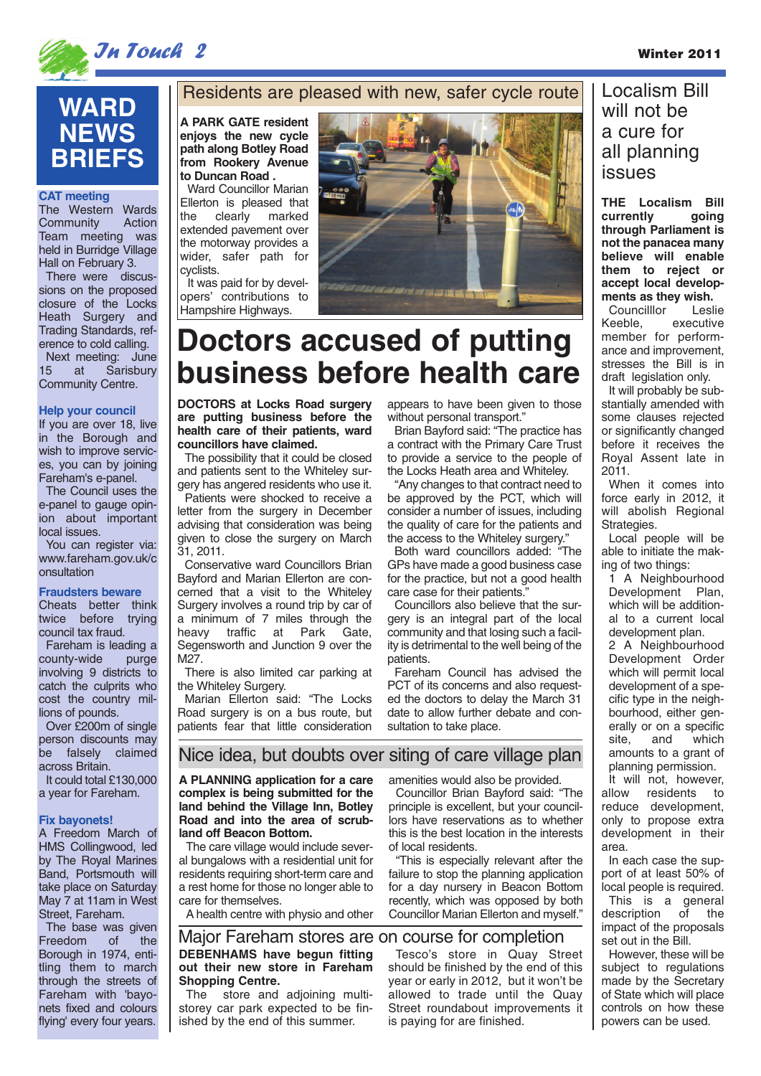

In Touch 2 Winter 2011

# **WARD NEWS BRIEFS**

#### **CAT meeting**

The Western Wards<br>Community Action Community Team meeting was held in Burridge Village Hall on February 3.

There were discussions on the proposed closure of the Locks Heath Surgery and Trading Standards, reference to cold calling. Next meeting: June<br>15 at Sarisbury

**Sarisbury** Community Centre.

#### **Help your council**

If you are over 18, live in the Borough and wish to improve services, you can by joining Fareham's e-panel.

The Council uses the e-panel to gauge opinion about important local issues.

You can register via: www.fareham.gov.uk/c onsultation

#### **Fraudsters beware**

Cheats better think twice before trying council tax fraud.

Fareham is leading a county-wide purge involving 9 districts to catch the culprits who cost the country millions of pounds.

Over £200m of single person discounts may<br>be falsely claimed be falsely across Britain

It could total £130,000 a year for Fareham.

#### **Fix bayonets!**

A Freedom March of HMS Collingwood, led by The Royal Marines Band, Portsmouth will take place on Saturday May 7 at 11am in West Street, Fareham.

The base was given<br>Freedom of the Freedom Borough in 1974, entitling them to march through the streets of Fareham with 'bayonets fixed and colours flying' every four years.

### Residents are pleased with new, safer cycle route

**A PARK GATE resident enjoys the new cycle path along Botley Road from Rookery Avenue to Duncan Road .** 

Ward Councillor Marian Ellerton is pleased that the clearly marked extended pavement over the motorway provides a wider, safer path for cyclists.

It was paid for by developers' contributions to Hampshire Highways.



# **Doctors accused of putting business before health care**

**DOCTORS at Locks Road surgery are putting business before the health care of their patients, ward councillors have claimed.**

The possibility that it could be closed and patients sent to the Whiteley surgery has angered residents who use it.

Patients were shocked to receive a letter from the surgery in December advising that consideration was being given to close the surgery on March 31, 2011.

Conservative ward Councillors Brian Bayford and Marian Ellerton are concerned that a visit to the Whiteley Surgery involves a round trip by car of a minimum of 7 miles through the heavy traffic at Park Gate, Segensworth and Junction 9 over the M27.

There is also limited car parking at the Whiteley Surgery.

Marian Ellerton said: "The Locks Road surgery is on a bus route, but patients fear that little consideration appears to have been given to those without personal transport."

Brian Bayford said: "The practice has a contract with the Primary Care Trust to provide a service to the people of the Locks Heath area and Whiteley.

"Any changes to that contract need to be approved by the PCT, which will consider a number of issues, including the quality of care for the patients and the access to the Whiteley surgery."

Both ward councillors added: "The GPs have made a good business case for the practice, but not a good health care case for their patients."

Councillors also believe that the surgery is an integral part of the local community and that losing such a facility is detrimental to the well being of the patients.

Fareham Council has advised the PCT of its concerns and also requested the doctors to delay the March 31 date to allow further debate and consultation to take place.

## Localism Bill will not be a cure for all planning issues

**THE Localism Bill currently going through Parliament is not the panacea many believe will enable them to reject or accept local developments as they wish.**

Councilllor Leslie Keeble, executive member for performance and improvement, stresses the Bill is in draft legislation only.

It will probably be substantially amended with some clauses rejected or significantly changed before it receives the Royal Assent late in 2011.

When it comes into force early in 2012, it will abolish Regional Strategies.

Local people will be able to initiate the making of two things:

1 A Neighbourhood Development Plan, which will be additional to a current local development plan.

2 A Neighbourhood Development Order which will permit local development of a specific type in the neighbourhood, either generally or on a specific site, and which amounts to a grant of planning permission.

It will not, however, allow residents to reduce development, only to propose extra development in their area.

In each case the support of at least 50% of local people is required. This is a general description of the impact of the proposals set out in the Bill.

However, these will be subject to regulations made by the Secretary of State which will place controls on how these powers can be used.

## Nice idea, but doubts over siting of care village plan

**A PLANNING application for a care complex is being submitted for the land behind the Village Inn, Botley Road and into the area of scrubland off Beacon Bottom.**

The care village would include several bungalows with a residential unit for residents requiring short-term care and a rest home for those no longer able to care for themselves.

A health centre with physio and other

### **DEBENHAMS have begun fitting out their new store in Fareham Shopping Centre.** Major Fareham stores are on course for completion

The store and adjoining multistorey car park expected to be finished by the end of this summer.

amenities would also be provided.

Councillor Brian Bayford said: "The principle is excellent, but your councillors have reservations as to whether this is the best location in the interests of local residents.

"This is especially relevant after the failure to stop the planning application for a day nursery in Beacon Bottom recently, which was opposed by both Councillor Marian Ellerton and myself."

Tesco's store in Quay Street should be finished by the end of this year or early in 2012, but it won't be allowed to trade until the Quay Street roundabout improvements it is paying for are finished.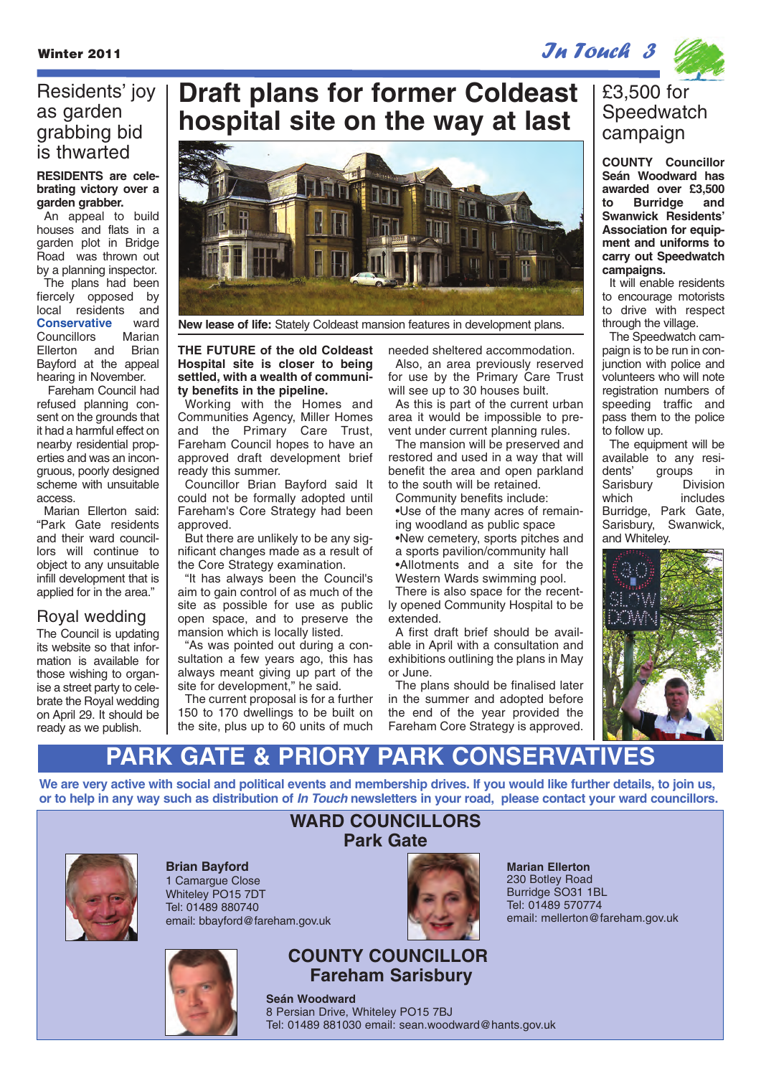Winter 2011 **In True 2011 In the United States 2011** *Jn Touch 3* 

# Residents' joy as garden grabbing bid

### **RESIDENTS are celebrating victory over a garden grabber.**

An appeal to build houses and flats in a garden plot in Bridge Road was thrown out by a planning inspector. The plans had been fiercely opposed by local residents and **Conservative** ward Councillors Marian Ellerton and Brian Bayford at the appeal hearing in November.

Fareham Council had refused planning consent on the grounds that it had a harmful effect on nearby residential properties and was an incongruous, poorly designed scheme with unsuitable access.

Marian Ellerton said: "Park Gate residents and their ward councillors will continue to object to any unsuitable infill development that is applied for in the area."

## Royal wedding

The Council is updating its website so that information is available for those wishing to organise a street party to celebrate the Royal wedding on April 29. It should be ready as we publish.

# **Draft plans for former Coldeast hospital site on the way at last**



**New lease of life:** Stately Coldeast mansion features in development plans.

### **THE FUTURE of the old Coldeast Hospital site is closer to being settled, with a wealth of community benefits in the pipeline.**

Working with the Homes and Communities Agency, Miller Homes and the Primary Care Trust, Fareham Council hopes to have an approved draft development brief ready this summer.

Councillor Brian Bayford said It could not be formally adopted until Fareham's Core Strategy had been approved.

But there are unlikely to be any significant changes made as a result of the Core Strategy examination.

"It has always been the Council's aim to gain control of as much of the site as possible for use as public open space, and to preserve the mansion which is locally listed.

"As was pointed out during a consultation a few years ago, this has always meant giving up part of the site for development," he said.

The current proposal is for a further 150 to 170 dwellings to be built on the site, plus up to 60 units of much needed sheltered accommodation. Also, an area previously reserved for use by the Primary Care Trust

will see up to 30 houses built. As this is part of the current urban area it would be impossible to pre-

vent under current planning rules. The mansion will be preserved and restored and used in a way that will benefit the area and open parkland to the south will be retained.

Community benefits include:

•Use of the many acres of remaining woodland as public space •New cemetery, sports pitches and a sports pavilion/community hall •Allotments and a site for the Western Wards swimming pool.

There is also space for the recently opened Community Hospital to be extended.

A first draft brief should be available in April with a consultation and exhibitions outlining the plans in May or June.

The plans should be finalised later in the summer and adopted before the end of the year provided the Fareham Core Strategy is approved.

## £3,500 for **Speedwatch** campaign

**Seán Woodward has awarded over £3,500 to Burridge and Swanwick Residents' Association for equipment and uniforms to carry out Speedwatch campaigns.**

It will enable residents to encourage motorists to drive with respect through the village.

The Speedwatch campaign is to be run in conjunction with police and volunteers who will note registration numbers of speeding traffic and pass them to the police to follow up.

The equipment will be available to any resigroups in Sarisbury Division which includes Burridge, Park Gate, Sarisbury, Swanwick, and Whiteley.



# **PARK GATE & PRIORY PARK CONSERVA**

**We are very active with social and political events and membership drives. If you would like further details, to join us, or to help in any way such as distribution of In Touch newsletters in your road, please contact your ward councillors.**



**Brian Bayford** 1 Camarque Close Whiteley PO15 7DT Tel: 01489 880740 email: bbayford@fareham.gov.uk



# **Park Gate**

**WARD COUNCILLORS**



**Marian Ellerton** 230 Botley Road Burridge SO31 1BL Tel: 01489 570774 email: mellerton@fareham.gov.uk

## **COUNTY COUNCILLOR Fareham Sarisbury**

**Seán Woodward** 8 Persian Drive, Whiteley PO15 7BJ Tel: 01489 881030 email: sean.woodward@hants.gov.uk